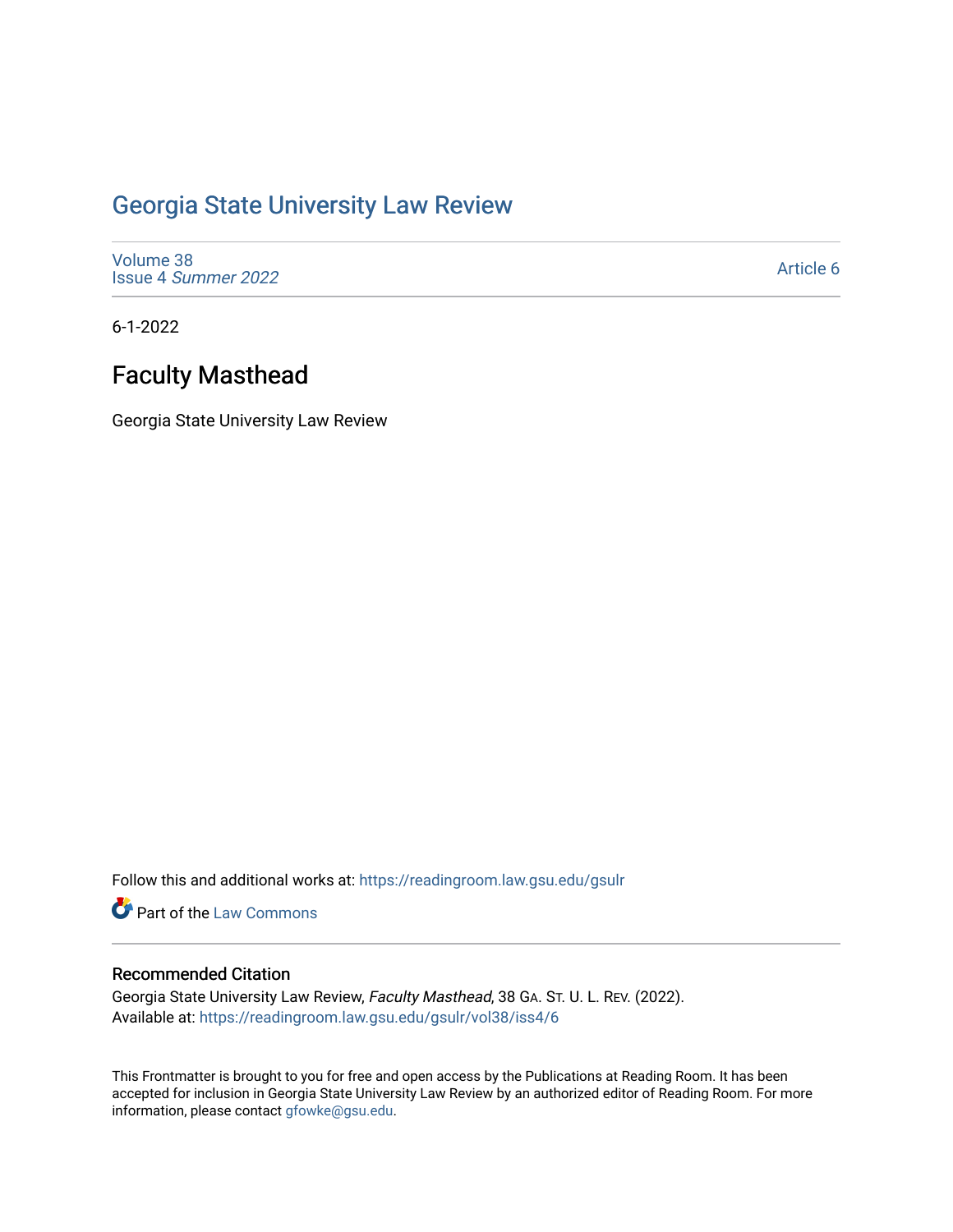## [Georgia State University Law Review](https://readingroom.law.gsu.edu/gsulr)

[Volume 38](https://readingroom.law.gsu.edu/gsulr/vol38) Issue 4 [Summer 2022](https://readingroom.law.gsu.edu/gsulr/vol38/iss4) 

[Article 6](https://readingroom.law.gsu.edu/gsulr/vol38/iss4/6) 

6-1-2022

# Faculty Masthead

Georgia State University Law Review

Follow this and additional works at: [https://readingroom.law.gsu.edu/gsulr](https://readingroom.law.gsu.edu/gsulr?utm_source=readingroom.law.gsu.edu%2Fgsulr%2Fvol38%2Fiss4%2F6&utm_medium=PDF&utm_campaign=PDFCoverPages) 

Part of the [Law Commons](https://network.bepress.com/hgg/discipline/578?utm_source=readingroom.law.gsu.edu%2Fgsulr%2Fvol38%2Fiss4%2F6&utm_medium=PDF&utm_campaign=PDFCoverPages)

### Recommended Citation

Georgia State University Law Review, Faculty Masthead, 38 GA. ST. U. L. REV. (2022). Available at: [https://readingroom.law.gsu.edu/gsulr/vol38/iss4/6](https://readingroom.law.gsu.edu/gsulr/vol38/iss4/6?utm_source=readingroom.law.gsu.edu%2Fgsulr%2Fvol38%2Fiss4%2F6&utm_medium=PDF&utm_campaign=PDFCoverPages)

This Frontmatter is brought to you for free and open access by the Publications at Reading Room. It has been accepted for inclusion in Georgia State University Law Review by an authorized editor of Reading Room. For more information, please contact [gfowke@gsu.edu.](mailto:gfowke@gsu.edu)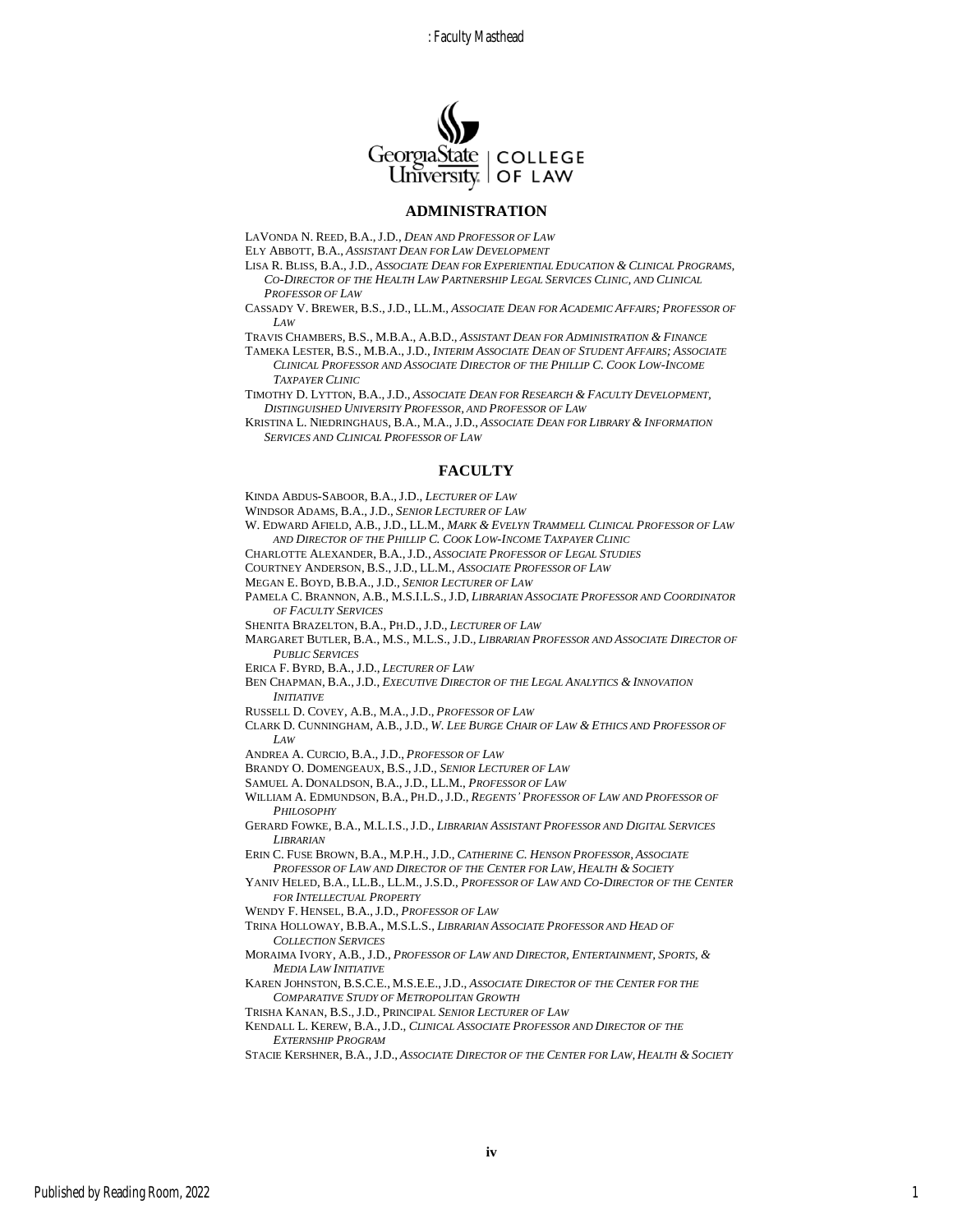: Faculty Masthead



#### **ADMINISTRATION**

LAVONDA N. REED, B.A.,J.D., *DEAN AND PROFESSOR OF LAW*

ELY ABBOTT, B.A., *ASSISTANT DEAN FOR LAW DEVELOPMENT*

- LISA R. BLISS, B.A., J.D., *ASSOCIATE DEAN FOR EXPERIENTIAL EDUCATION & CLINICAL PROGRAMS,* CO-DIRECTOR OF THE HEALTH LAW PARTNERSHIP LEGAL SERVICES CLINIC, AND CLINICAL *PROFESSOR OF LAW*
- CASSADY V. BREWER, B.S.,J.D., LL.M., *ASSOCIATE DEAN FOR ACADEMIC AFFAIRS; PROFESSOR OF LAW*

TRAVIS CHAMBERS, B.S., M.B.A., A.B.D., *ASSISTANT DEAN FOR ADMINISTRATION & FINANCE*

TAMEKA LESTER, B.S., M.B.A., J.D., *INTERIM ASSOCIATE DEAN OF STUDENT AFFAIRS; ASSOCIATE CLINICAL PROFESSOR AND ASSOCIATE DIRECTOR OF THE PHILLIP C. COOK LOW-INCOME TAXPAYER CLINIC*

TIMOTHY D. LYTTON, B.A.,J.D., *ASSOCIATE DEAN FOR RESEARCH & FACULTY DEVELOPMENT, DISTINGUISHED UNIVERSITY PROFESSOR, AND PROFESSOR OF LAW*

KRISTINA L. NIEDRINGHAUS, B.A., M.A., J.D., *ASSOCIATE DEAN FOR LIBRARY & INFORMATION SERVICES AND CLINICAL PROFESSOR OF LAW*

### **FACULTY**

KINDA ABDUS-SABOOR, B.A.,J.D., *LECTURER OF LAW*

WINDSOR ADAMS, B.A., J.D., *SENIOR LECTURER OF LAW* 

W. EDWARD AFIELD, A.B., J.D., LL.M., *MARK & EVELYN TRAMMELL CLINICAL PROFESSOR OF LAW AND DIRECTOR OF THE PHILLIP C. COOK LOW-INCOME TAXPAYER CLINIC*

CHARLOTTE ALEXANDER, B.A.,J.D., *ASSOCIATE PROFESSOR OF LEGAL STUDIES*

COURTNEY ANDERSON, B.S., J.D., LL.M., *ASSOCIATE PROFESSOR OF LAW*

MEGAN E. BOYD, B.B.A., J.D., *SENIOR LECTURER OF LAW*

PAMELA C. BRANNON, A.B., M.S.I.L.S.,J.D, *LIBRARIAN ASSOCIATE PROFESSOR AND COORDINATOR OF FACULTY SERVICES*

SHENITA BRAZELTON, B.A., PH.D.,J.D., *LECTURER OF LAW*

MARGARET BUTLER, B.A., M.S., M.L.S., J.D., *LIBRARIAN PROFESSOR AND ASSOCIATE DIRECTOR OF PUBLIC SERVICES*

ERICA F. BYRD, B.A., J.D., *LECTURER OF LAW*

BEN CHAPMAN, B.A.,J.D., *EXECUTIVE DIRECTOR OF THE LEGAL ANALYTICS & INNOVATION INITIATIVE*

RUSSELL D. COVEY, A.B., M.A.,J.D., *PROFESSOR OF LAW*

CLARK D. CUNNINGHAM, A.B., J.D., *W. LEE BURGE CHAIR OF LAW & ETHICS AND PROFESSOR OF LAW*

ANDREA A. CURCIO, B.A., J.D., *PROFESSOR OF LAW*

BRANDY O. DOMENGEAUX, B.S.,J.D., *SENIOR LECTURER OF LAW*

SAMUEL A. DONALDSON, B.A.,J.D., LL.M., *PROFESSOR OF LAW*

WILLIAM A. EDMUNDSON, B.A., PH.D.,J.D., *REGENTS' PROFESSOR OF LAW AND PROFESSOR OF PHILOSOPHY*

GERARD FOWKE, B.A., M.L.I.S.,J.D., *LIBRARIAN ASSISTANT PROFESSOR AND DIGITAL SERVICES LIBRARIAN*

ERIN C. FUSE BROWN, B.A., M.P.H., J.D., *CATHERINE C. HENSON PROFESSOR, ASSOCIATE PROFESSOR OF LAW AND DIRECTOR OF THE CENTER FOR LAW, HEALTH & SOCIETY*

YANIV HELED, B.A., LL.B., LL.M., J.S.D., *PROFESSOR OF LAW AND CO-DIRECTOR OF THE CENTER FOR INTELLECTUAL PROPERTY*

WENDY F. HENSEL, B.A.,J.D., *PROFESSOR OF LAW*

TRINA HOLLOWAY, B.B.A., M.S.L.S., *LIBRARIAN ASSOCIATE PROFESSOR AND HEAD OF COLLECTION SERVICES* 

MORAIMA IVORY, A.B., J.D., *PROFESSOR OF LAW AND DIRECTOR, ENTERTAINMENT, SPORTS, & MEDIA LAW INITIATIVE*

KAREN JOHNSTON, B.S.C.E., M.S.E.E.,J.D., *ASSOCIATE DIRECTOR OF THE CENTER FOR THE COMPARATIVE STUDY OF METROPOLITAN GROWTH*

TRISHA KANAN, B.S.,J.D., PRINCIPAL *SENIOR LECTURER OF LAW*

KENDALL L. KEREW, B.A.,J.D., *CLINICAL ASSOCIATE PROFESSOR AND DIRECTOR OF THE EXTERNSHIP PROGRAM* 

STACIE KERSHNER, B.A., J.D., *ASSOCIATE DIRECTOR OF THE CENTER FOR LAW, HEALTH & SOCIETY*